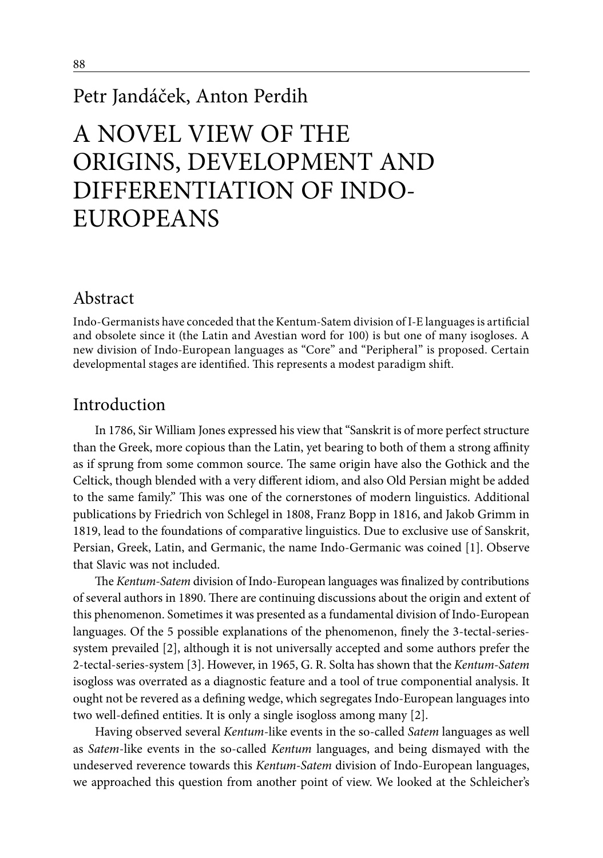# Petr Jandáček, Anton Perdih

# A NOVEL VIEW OF THE ORIGINS, DEVELOPMENT AND DIFFERENTIATION OF INDO-EUROPEANS

### Abstract

Indo-Germanists have conceded that the Kentum-Satem division of I-E languages is artificial and obsolete since it (the Latin and Avestian word for 100) is but one of many isogloses. A new division of Indo-European languages as "Core" and "Peripheral" is proposed. Certain developmental stages are identified. This represents a modest paradigm shift.

#### Introduction

In 1786, Sir William Jones expressed his view that "Sanskrit is of more perfect structure than the Greek, more copious than the Latin, yet bearing to both of them a strong affinity as if sprung from some common source. The same origin have also the Gothick and the Celtick, though blended with a very different idiom, and also Old Persian might be added to the same family." This was one of the cornerstones of modern linguistics. Additional publications by Friedrich von Schlegel in 1808, Franz Bopp in 1816, and Jakob Grimm in 1819, lead to the foundations of comparative linguistics. Due to exclusive use of Sanskrit, Persian, Greek, Latin, and Germanic, the name Indo-Germanic was coined [1]. Observe that Slavic was not included.

The *Kentum-Satem* division of Indo-European languages was finalized by contributions of several authors in 1890. There are continuing discussions about the origin and extent of this phenomenon. Sometimes it was presented as a fundamental division of Indo-European languages. Of the 5 possible explanations of the phenomenon, finely the 3-tectal-seriessystem prevailed [2], although it is not universally accepted and some authors prefer the 2-tectal-series-system [3]. However, in 1965, G. R. Solta has shown that the *Kentum-Satem* isogloss was overrated as a diagnostic feature and a tool of true componential analysis. It ought not be revered as a defining wedge, which segregates Indo-European languages into two well-defined entities. It is only a single isogloss among many [2].

Having observed several *Kentum*-like events in the so-called *Satem* languages as well as *Satem*-like events in the so-called *Kentum* languages, and being dismayed with the undeserved reverence towards this *Kentum-Satem* division of Indo-European languages, we approached this question from another point of view. We looked at the Schleicher's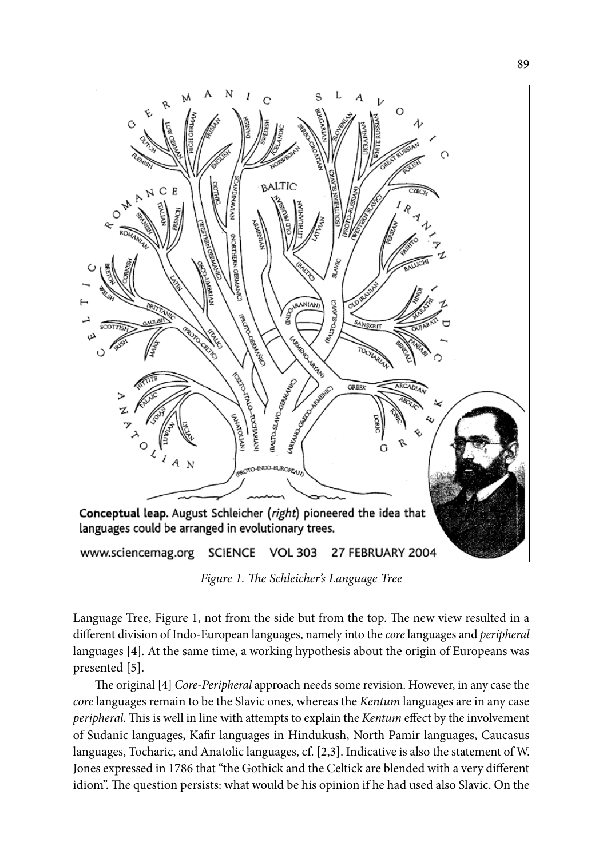

*Figure 1. The Schleicher's Language Tree*

Language Tree, Figure 1, not from the side but from the top. The new view resulted in a different division of Indo-European languages, namely into the *core* languages and *peripheral* languages [4]. At the same time, a working hypothesis about the origin of Europeans was presented [5].

The original [4] *Core-Peripheral* approach needs some revision. However, in any case the *core* languages remain to be the Slavic ones, whereas the *Kentum* languages are in any case *peripheral*. This is well in line with attempts to explain the *Kentum* effect by the involvement of Sudanic languages, Kafir languages in Hindukush, North Pamir languages, Caucasus languages, Tocharic, and Anatolic languages, cf. [2,3]. Indicative is also the statement of W. Jones expressed in 1786 that "the Gothick and the Celtick are blended with a very different idiom". The question persists: what would be his opinion if he had used also Slavic. On the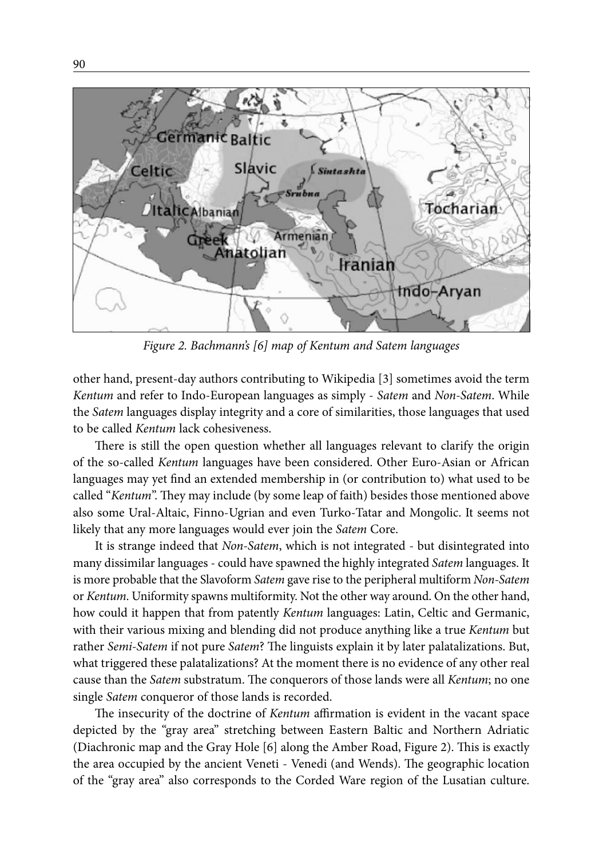

*Figure 2. Bachmann's [6] map of Kentum and Satem languages*

other hand, present-day authors contributing to Wikipedia [3] sometimes avoid the term *Kentum* and refer to Indo-European languages as simply - *Satem* and *Non-Satem*. While the *Satem* languages display integrity and a core of similarities, those languages that used to be called *Kentum* lack cohesiveness.

There is still the open question whether all languages relevant to clarify the origin of the so-called *Kentum* languages have been considered. Other Euro-Asian or African languages may yet find an extended membership in (or contribution to) what used to be called "*Kentum*". They may include (by some leap of faith) besides those mentioned above also some Ural-Altaic, Finno-Ugrian and even Turko-Tatar and Mongolic. It seems not likely that any more languages would ever join the *Satem* Core.

It is strange indeed that *Non-Satem*, which is not integrated - but disintegrated into many dissimilar languages - could have spawned the highly integrated *Satem* languages. It is more probable that the Slavoform *Satem* gave rise to the peripheral multiform *Non-Satem* or *Kentum*. Uniformity spawns multiformity. Not the other way around. On the other hand, how could it happen that from patently *Kentum* languages: Latin, Celtic and Germanic, with their various mixing and blending did not produce anything like a true *Kentum* but rather *Semi-Satem* if not pure *Satem*? The linguists explain it by later palatalizations. But, what triggered these palatalizations? At the moment there is no evidence of any other real cause than the *Satem* substratum. The conquerors of those lands were all *Kentum*; no one single *Satem* conqueror of those lands is recorded.

The insecurity of the doctrine of *Kentum* affirmation is evident in the vacant space depicted by the "gray area" stretching between Eastern Baltic and Northern Adriatic (Diachronic map and the Gray Hole [6] along the Amber Road, Figure 2). This is exactly the area occupied by the ancient Veneti - Venedi (and Wends). The geographic location of the "gray area" also corresponds to the Corded Ware region of the Lusatian culture.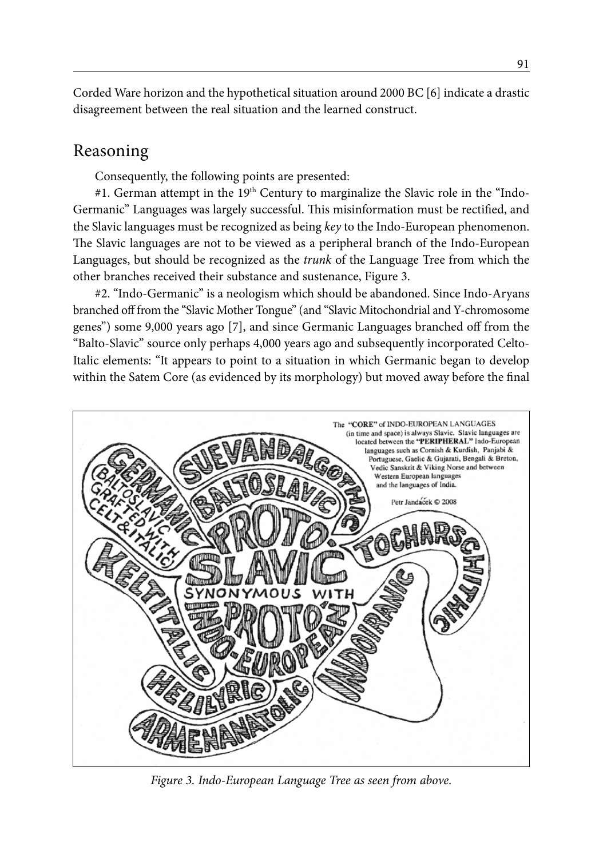Corded Ware horizon and the hypothetical situation around 2000 BC [6] indicate a drastic disagreement between the real situation and the learned construct.

## Reasoning

Consequently, the following points are presented:

#1. German attempt in the 19<sup>th</sup> Century to marginalize the Slavic role in the "Indo-Germanic" Languages was largely successful. This misinformation must be rectified, and the Slavic languages must be recognized as being *key* to the Indo-European phenomenon. The Slavic languages are not to be viewed as a peripheral branch of the Indo-European Languages, but should be recognized as the *trunk* of the Language Tree from which the other branches received their substance and sustenance, Figure 3.

#2. "Indo-Germanic" is a neologism which should be abandoned. Since Indo-Aryans branched off from the "Slavic Mother Tongue" (and "Slavic Mitochondrial and Y-chromosome genes") some 9,000 years ago [7], and since Germanic Languages branched off from the "Balto-Slavic" source only perhaps 4,000 years ago and subsequently incorporated Celto-Italic elements: "It appears to point to a situation in which Germanic began to develop within the Satem Core (as evidenced by its morphology) but moved away before the final



*Figure 3. Indo-European Language Tree as seen from above.*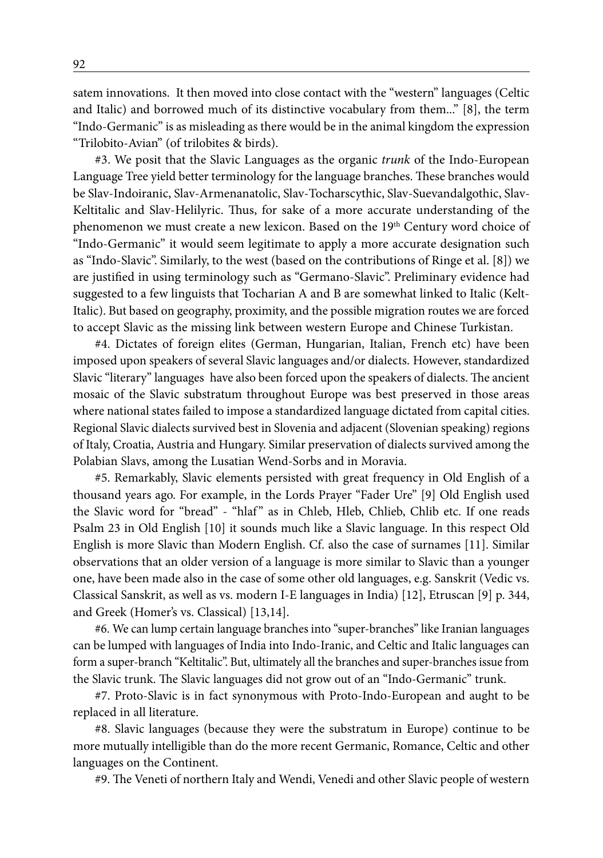satem innovations. It then moved into close contact with the "western" languages (Celtic and Italic) and borrowed much of its distinctive vocabulary from them..." [8], the term "Indo-Germanic" is as misleading as there would be in the animal kingdom the expression "Trilobito-Avian" (of trilobites & birds).

#3. We posit that the Slavic Languages as the organic *trunk* of the Indo-European Language Tree yield better terminology for the language branches. These branches would be Slav-Indoiranic, Slav-Armenanatolic, Slav-Tocharscythic, Slav-Suevandalgothic, Slav-Keltitalic and Slav-Helilyric. Thus, for sake of a more accurate understanding of the phenomenon we must create a new lexicon. Based on the 19<sup>th</sup> Century word choice of "Indo-Germanic" it would seem legitimate to apply a more accurate designation such as "Indo-Slavic". Similarly, to the west (based on the contributions of Ringe et al. [8]) we are justified in using terminology such as "Germano-Slavic". Preliminary evidence had suggested to a few linguists that Tocharian A and B are somewhat linked to Italic (Kelt-Italic). But based on geography, proximity, and the possible migration routes we are forced to accept Slavic as the missing link between western Europe and Chinese Turkistan.

#4. Dictates of foreign elites (German, Hungarian, Italian, French etc) have been imposed upon speakers of several Slavic languages and/or dialects. However, standardized Slavic "literary" languages have also been forced upon the speakers of dialects. The ancient mosaic of the Slavic substratum throughout Europe was best preserved in those areas where national states failed to impose a standardized language dictated from capital cities. Regional Slavic dialects survived best in Slovenia and adjacent (Slovenian speaking) regions of Italy, Croatia, Austria and Hungary. Similar preservation of dialects survived among the Polabian Slavs, among the Lusatian Wend-Sorbs and in Moravia.

#5. Remarkably, Slavic elements persisted with great frequency in Old English of a thousand years ago. For example, in the Lords Prayer "Fader Ure" [9] Old English used the Slavic word for "bread" - "hlaf" as in Chleb, Hleb, Chlieb, Chlib etc. If one reads Psalm 23 in Old English [10] it sounds much like a Slavic language. In this respect Old English is more Slavic than Modern English. Cf. also the case of surnames [11]. Similar observations that an older version of a language is more similar to Slavic than a younger one, have been made also in the case of some other old languages, e.g. Sanskrit (Vedic vs. Classical Sanskrit, as well as vs. modern I-E languages in India) [12], Etruscan [9] p. 344, and Greek (Homer's vs. Classical) [13,14].

#6. We can lump certain language branches into "super-branches" like Iranian languages can be lumped with languages of India into Indo-Iranic, and Celtic and Italic languages can form a super-branch "Keltitalic". But, ultimately all the branches and super-branches issue from the Slavic trunk. The Slavic languages did not grow out of an "Indo-Germanic" trunk.

#7. Proto-Slavic is in fact synonymous with Proto-Indo-European and aught to be replaced in all literature.

#8. Slavic languages (because they were the substratum in Europe) continue to be more mutually intelligible than do the more recent Germanic, Romance, Celtic and other languages on the Continent.

#9. The Veneti of northern Italy and Wendi, Venedi and other Slavic people of western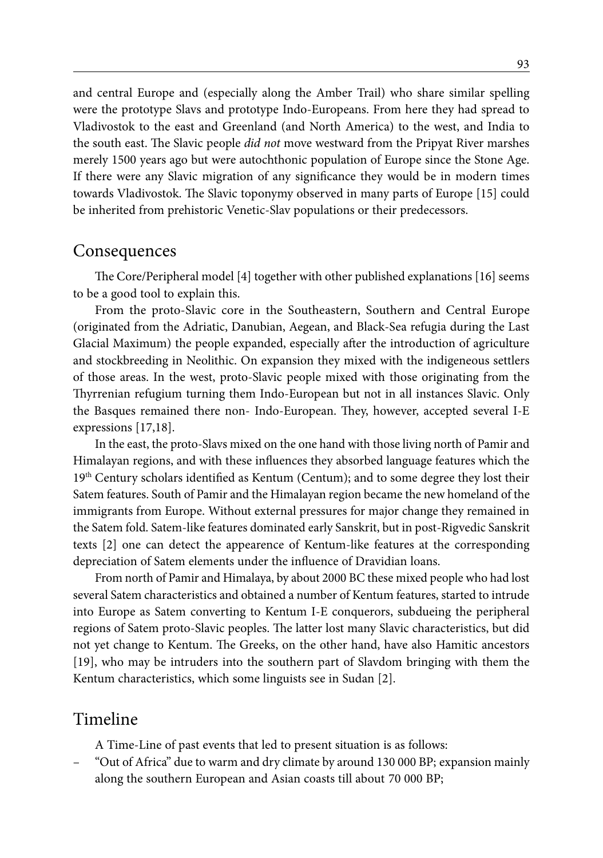and central Europe and (especially along the Amber Trail) who share similar spelling were the prototype Slavs and prototype Indo-Europeans. From here they had spread to Vladivostok to the east and Greenland (and North America) to the west, and India to the south east. The Slavic people *did not* move westward from the Pripyat River marshes merely 1500 years ago but were autochthonic population of Europe since the Stone Age. If there were any Slavic migration of any significance they would be in modern times towards Vladivostok. The Slavic toponymy observed in many parts of Europe [15] could be inherited from prehistoric Venetic-Slav populations or their predecessors.

#### **Consequences**

The Core/Peripheral model [4] together with other published explanations [16] seems to be a good tool to explain this.

From the proto-Slavic core in the Southeastern, Southern and Central Europe (originated from the Adriatic, Danubian, Aegean, and Black-Sea refugia during the Last Glacial Maximum) the people expanded, especially after the introduction of agriculture and stockbreeding in Neolithic. On expansion they mixed with the indigeneous settlers of those areas. In the west, proto-Slavic people mixed with those originating from the Thyrrenian refugium turning them Indo-European but not in all instances Slavic. Only the Basques remained there non- Indo-European. They, however, accepted several I-E expressions [17,18].

In the east, the proto-Slavs mixed on the one hand with those living north of Pamir and Himalayan regions, and with these influences they absorbed language features which the 19th Century scholars identified as Kentum (Centum); and to some degree they lost their Satem features. South of Pamir and the Himalayan region became the new homeland of the immigrants from Europe. Without external pressures for major change they remained in the Satem fold. Satem-like features dominated early Sanskrit, but in post-Rigvedic Sanskrit texts [2] one can detect the appearence of Kentum-like features at the corresponding depreciation of Satem elements under the influence of Dravidian loans.

From north of Pamir and Himalaya, by about 2000 BC these mixed people who had lost several Satem characteristics and obtained a number of Kentum features, started to intrude into Europe as Satem converting to Kentum I-E conquerors, subdueing the peripheral regions of Satem proto-Slavic peoples. The latter lost many Slavic characteristics, but did not yet change to Kentum. The Greeks, on the other hand, have also Hamitic ancestors [19], who may be intruders into the southern part of Slavdom bringing with them the Kentum characteristics, which some linguists see in Sudan [2].

#### Timeline

A Time-Line of past events that led to present situation is as follows:

– "Out of Africa" due to warm and dry climate by around 130 000 BP; expansion mainly along the southern European and Asian coasts till about 70 000 BP;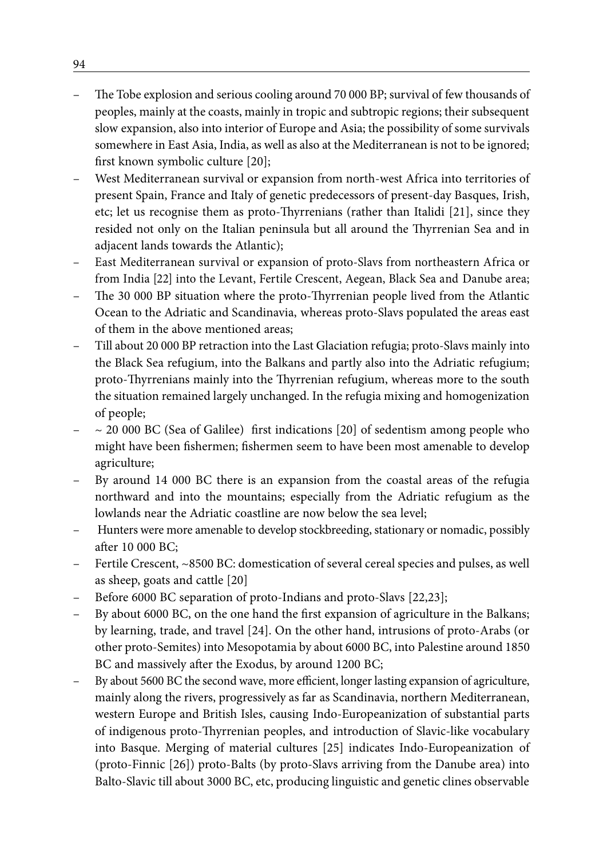- The Tobe explosion and serious cooling around 70 000 BP; survival of few thousands of peoples, mainly at the coasts, mainly in tropic and subtropic regions; their subsequent slow expansion, also into interior of Europe and Asia; the possibility of some survivals somewhere in East Asia, India, as well as also at the Mediterranean is not to be ignored; first known symbolic culture [20];
- West Mediterranean survival or expansion from north-west Africa into territories of present Spain, France and Italy of genetic predecessors of present-day Basques, Irish, etc; let us recognise them as proto-Thyrrenians (rather than Italidi [21], since they resided not only on the Italian peninsula but all around the Thyrrenian Sea and in adjacent lands towards the Atlantic);
- East Mediterranean survival or expansion of proto-Slavs from northeastern Africa or from India [22] into the Levant, Fertile Crescent, Aegean, Black Sea and Danube area;
- The 30 000 BP situation where the proto-Thyrrenian people lived from the Atlantic Ocean to the Adriatic and Scandinavia, whereas proto-Slavs populated the areas east of them in the above mentioned areas;
- Till about 20 000 BP retraction into the Last Glaciation refugia; proto-Slavs mainly into the Black Sea refugium, into the Balkans and partly also into the Adriatic refugium; proto-Thyrrenians mainly into the Thyrrenian refugium, whereas more to the south the situation remained largely unchanged. In the refugia mixing and homogenization of people;
- $\sim$  20 000 BC (Sea of Galilee) first indications [20] of sedentism among people who might have been fishermen; fishermen seem to have been most amenable to develop agriculture;
- By around 14 000 BC there is an expansion from the coastal areas of the refugia northward and into the mountains; especially from the Adriatic refugium as the lowlands near the Adriatic coastline are now below the sea level;
- Hunters were more amenable to develop stockbreeding, stationary or nomadic, possibly after 10 000 BC;
- Fertile Crescent, ~8500 BC: domestication of several cereal species and pulses, as well as sheep, goats and cattle [20]
- Before 6000 BC separation of proto-Indians and proto-Slavs [22,23];
- By about 6000 BC, on the one hand the first expansion of agriculture in the Balkans; by learning, trade, and travel [24]. On the other hand, intrusions of proto-Arabs (or other proto-Semites) into Mesopotamia by about 6000 BC, into Palestine around 1850 BC and massively after the Exodus, by around 1200 BC;
- By about 5600 BC the second wave, more efficient, longer lasting expansion of agriculture, mainly along the rivers, progressively as far as Scandinavia, northern Mediterranean, western Europe and British Isles, causing Indo-Europeanization of substantial parts of indigenous proto-Thyrrenian peoples, and introduction of Slavic-like vocabulary into Basque. Merging of material cultures [25] indicates Indo-Europeanization of (proto-Finnic [26]) proto-Balts (by proto-Slavs arriving from the Danube area) into Balto-Slavic till about 3000 BC, etc, producing linguistic and genetic clines observable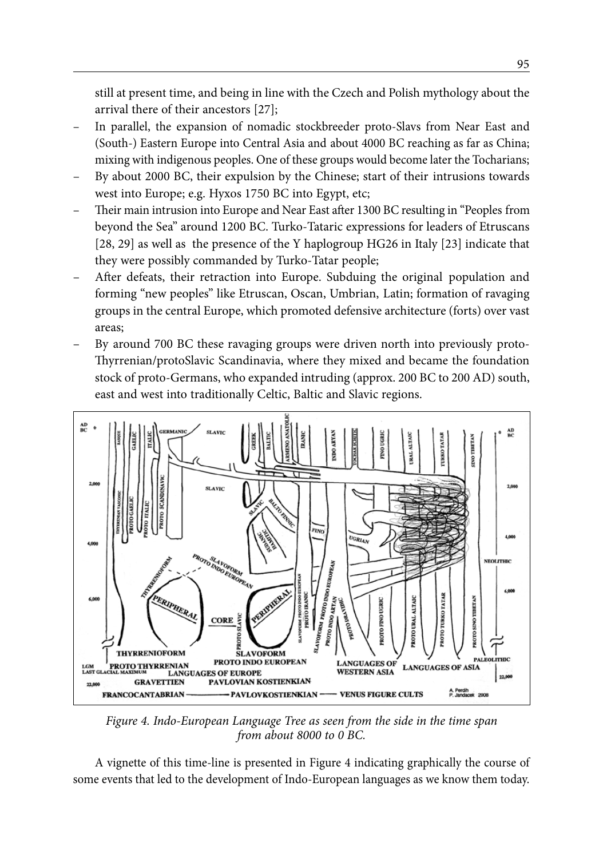still at present time, and being in line with the Czech and Polish mythology about the arrival there of their ancestors [27];

- In parallel, the expansion of nomadic stockbreeder proto-Slavs from Near East and (South-) Eastern Europe into Central Asia and about 4000 BC reaching as far as China; mixing with indigenous peoples. One of these groups would become later the Tocharians;
- By about 2000 BC, their expulsion by the Chinese; start of their intrusions towards west into Europe; e.g. Hyxos 1750 BC into Egypt, etc;
- Their main intrusion into Europe and Near East after 1300 BC resulting in "Peoples from beyond the Sea" around 1200 BC. Turko-Tataric expressions for leaders of Etruscans [28, 29] as well as the presence of the Y haplogroup HG26 in Italy [23] indicate that they were possibly commanded by Turko-Tatar people;
- After defeats, their retraction into Europe. Subduing the original population and forming "new peoples" like Etruscan, Oscan, Umbrian, Latin; formation of ravaging groups in the central Europe, which promoted defensive architecture (forts) over vast areas;
- By around 700 BC these ravaging groups were driven north into previously proto-Thyrrenian/protoSlavic Scandinavia, where they mixed and became the foundation stock of proto-Germans, who expanded intruding (approx. 200 BC to 200 AD) south, east and west into traditionally Celtic, Baltic and Slavic regions.



*Figure 4. Indo-European Language Tree as seen from the side in the time span from about 8000 to 0 BC.*

A vignette of this time-line is presented in Figure 4 indicating graphically the course of some events that led to the development of Indo-European languages as we know them today.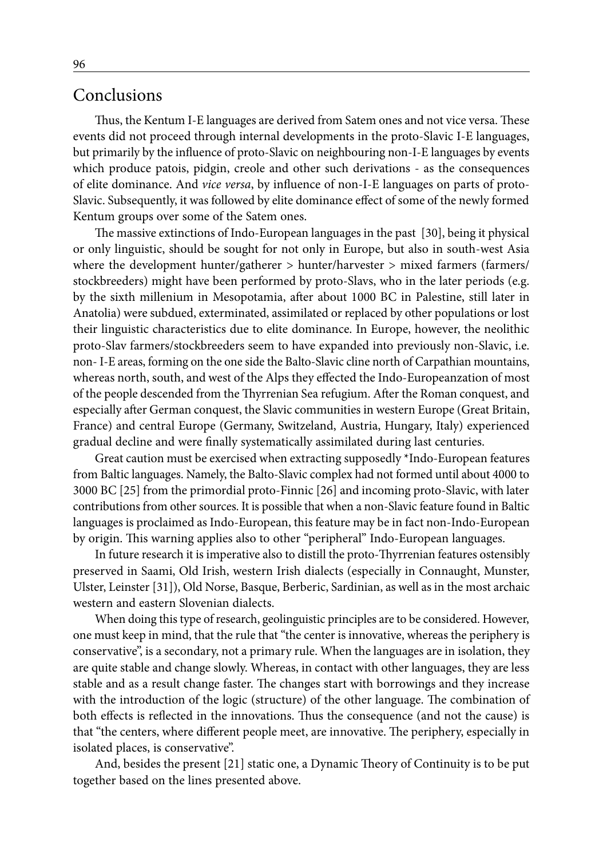#### Conclusions

Thus, the Kentum I-E languages are derived from Satem ones and not vice versa. These events did not proceed through internal developments in the proto-Slavic I-E languages, but primarily by the influence of proto-Slavic on neighbouring non-I-E languages by events which produce patois, pidgin, creole and other such derivations - as the consequences of elite dominance. And *vice versa*, by influence of non-I-E languages on parts of proto-Slavic. Subsequently, it was followed by elite dominance effect of some of the newly formed Kentum groups over some of the Satem ones.

The massive extinctions of Indo-European languages in the past [30], being it physical or only linguistic, should be sought for not only in Europe, but also in south-west Asia where the development hunter/gatherer > hunter/harvester > mixed farmers (farmers/ stockbreeders) might have been performed by proto-Slavs, who in the later periods (e.g. by the sixth millenium in Mesopotamia, after about 1000 BC in Palestine, still later in Anatolia) were subdued, exterminated, assimilated or replaced by other populations or lost their linguistic characteristics due to elite dominance. In Europe, however, the neolithic proto-Slav farmers/stockbreeders seem to have expanded into previously non-Slavic, i.e. non- I-E areas, forming on the one side the Balto-Slavic cline north of Carpathian mountains, whereas north, south, and west of the Alps they effected the Indo-Europeanzation of most of the people descended from the Thyrrenian Sea refugium. After the Roman conquest, and especially after German conquest, the Slavic communities in western Europe (Great Britain, France) and central Europe (Germany, Switzeland, Austria, Hungary, Italy) experienced gradual decline and were finally systematically assimilated during last centuries.

Great caution must be exercised when extracting supposedly \*Indo-European features from Baltic languages. Namely, the Balto-Slavic complex had not formed until about 4000 to 3000 BC [25] from the primordial proto-Finnic [26] and incoming proto-Slavic, with later contributions from other sources. It is possible that when a non-Slavic feature found in Baltic languages is proclaimed as Indo-European, this feature may be in fact non-Indo-European by origin. This warning applies also to other "peripheral" Indo-European languages.

In future research it is imperative also to distill the proto-Thyrrenian features ostensibly preserved in Saami, Old Irish, western Irish dialects (especially in Connaught, Munster, Ulster, Leinster [31]), Old Norse, Basque, Berberic, Sardinian, as well as in the most archaic western and eastern Slovenian dialects.

When doing this type of research, geolinguistic principles are to be considered. However, one must keep in mind, that the rule that "the center is innovative, whereas the periphery is conservative", is a secondary, not a primary rule. When the languages are in isolation, they are quite stable and change slowly. Whereas, in contact with other languages, they are less stable and as a result change faster. The changes start with borrowings and they increase with the introduction of the logic (structure) of the other language. The combination of both effects is reflected in the innovations. Thus the consequence (and not the cause) is that "the centers, where different people meet, are innovative. The periphery, especially in isolated places, is conservative".

And, besides the present [21] static one, a Dynamic Theory of Continuity is to be put together based on the lines presented above.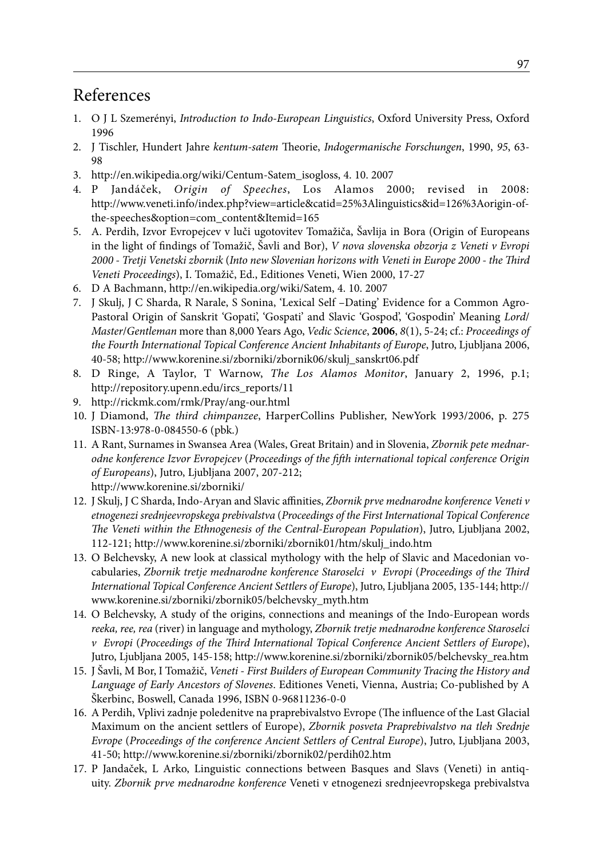#### References

- 1. O J L Szemerényi, *Introduction to Indo-European Linguistics*, Oxford University Press, Oxford 1996
- 2. J Tischler, Hundert Jahre *kentum-satem* Theorie, *Indogermanische Forschungen*, 1990, *95*, 63- 98
- 3. http://en.wikipedia.org/wiki/Centum-Satem\_isogloss, 4. 10. 2007
- 4. P Jandáček, *Origin of Speeches*, Los Alamos 2000; revised in 2008: http://www.veneti.info/index.php?view=article&catid=25%3Alinguistics&id=126%3Aorigin-ofthe-speeches&option=com\_content&Itemid=165
- 5. A. Perdih, Izvor Evropejcev v luči ugotovitev Tomažiča, Šavlija in Bora (Origin of Europeans in the light of findings of Tomažič, Šavli and Bor), *V nova slovenska obzorja z Veneti v Evropi 2000 - Tretji Venetski zbornik* (*Into new Slovenian horizons with Veneti in Europe 2000 - the Third Veneti Proceedings*), I. Tomažič, Ed., Editiones Veneti, Wien 2000, 17-27
- 6. D A Bachmann, http://en.wikipedia.org/wiki/Satem, 4. 10. 2007
- 7. J Skulj, J C Sharda, R Narale, S Sonina, 'Lexical Self –Dating' Evidence for a Common Agro-Pastoral Origin of Sanskrit 'Gopati', 'Gospati' and Slavic 'Gospod', 'Gospodin' Meaning *Lord*/ *Master*/*Gentleman* more than 8,000 Years Ago, *Vedic Science*, **2006**, *8*(1), 5-24; cf.: *Proceedings of the Fourth International Topical Conference Ancient Inhabitants of Europe*, Jutro, Ljubljana 2006, 40-58; http://www.korenine.si/zborniki/zbornik06/skulj\_sanskrt06.pdf
- 8. D Ringe, A Taylor, T Warnow, *The Los Alamos Monitor*, January 2, 1996, p.1; http://repository.upenn.edu/ircs\_reports/11
- 9. http://rickmk.com/rmk/Pray/ang-our.html
- 10. J Diamond, *The third chimpanzee*, HarperCollins Publisher, NewYork 1993/2006, p. 275 ISBN-13:978-0-084550-6 (pbk.)
- 11. A Rant, Surnames in Swansea Area (Wales, Great Britain) and in Slovenia, *Zbornik pete mednarodne konference Izvor Evropejcev* (*Proceedings of the fifth international topical conference Origin of Europeans*), Jutro, Ljubljana 2007, 207-212; http://www.korenine.si/zborniki/
- 12. J Skulj, J C Sharda, Indo-Aryan and Slavic affinities, *Zbornik prve mednarodne konference Veneti v etnogenezi srednjeevropskega prebivalstva* (*Proceedings of the First International Topical Conference The Veneti within the Ethnogenesis of the Central-European Population*), Jutro, Ljubljana 2002, 112-121; http://www.korenine.si/zborniki/zbornik01/htm/skulj\_indo.htm
- 13. O Belchevsky, A new look at classical mythology with the help of Slavic and Macedonian vocabularies, *Zbornik tretje mednarodne konference Staroselci v Evropi* (*Proceedings of the Third International Topical Conference Ancient Settlers of Europe*), Jutro, Ljubljana 2005, 135-144; http:// www.korenine.si/zborniki/zbornik05/belchevsky\_myth.htm
- 14. O Belchevsky, A study of the origins, connections and meanings of the Indo-European words *reeka, ree, rea* (river) in language and mythology, *Zbornik tretje mednarodne konference Staroselci v Evropi* (*Proceedings of the Third International Topical Conference Ancient Settlers of Europe*), Jutro, Ljubljana 2005, 145-158; http://www.korenine.si/zborniki/zbornik05/belchevsky\_rea.htm
- 15. J Šavli, M Bor, I Tomažič, *Veneti First Builders of European Community Tracing the History and Language of Early Ancestors of Slovenes*. Editiones Veneti, Vienna, Austria; Co-published by A Škerbinc, Boswell, Canada 1996, ISBN 0-96811236-0-0
- 16. A Perdih, Vplivi zadnje poledenitve na praprebivalstvo Evrope (The influence of the Last Glacial Maximum on the ancient settlers of Europe), *Zbornik posveta Praprebivalstvo na tleh Srednje Evrope* (*Proceedings of the conference Ancient Settlers of Central Europe*), Jutro, Ljubljana 2003, 41-50; http://www.korenine.si/zborniki/zbornik02/perdih02.htm
- 17. P Jandaček, L Arko, Linguistic connections between Basques and Slavs (Veneti) in antiquity. *Zbornik prve mednarodne konference* Veneti v etnogenezi srednjeevropskega prebivalstva